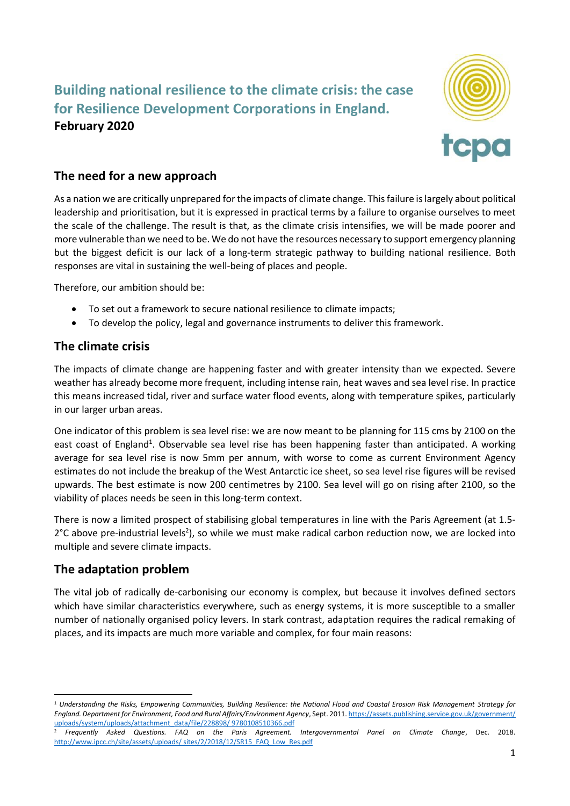# **Building national resilience to the climate crisis: the case for Resilience Development Corporations in England. February 2020**



## **The need for a new approach**

As a nation we are critically unprepared for the impacts of climate change. This failure is largely about political leadership and prioritisation, but it is expressed in practical terms by a failure to organise ourselves to meet the scale of the challenge. The result is that, as the climate crisis intensifies, we will be made poorer and more vulnerable than we need to be. We do not have the resources necessary to support emergency planning but the biggest deficit is our lack of a long-term strategic pathway to building national resilience. Both responses are vital in sustaining the well-being of places and people.

Therefore, our ambition should be:

- To set out a framework to secure national resilience to climate impacts;
- To develop the policy, legal and governance instruments to deliver this framework.

#### **The climate crisis**

The impacts of climate change are happening faster and with greater intensity than we expected. Severe weather has already become more frequent, including intense rain, heat waves and sea level rise. In practice this means increased tidal, river and surface water flood events, along with temperature spikes, particularly in our larger urban areas.

One indicator of this problem is sea level rise: we are now meant to be planning for 115 cms by 2100 on the east coast of England<sup>1</sup>. Observable sea level rise has been happening faster than anticipated. A working average for sea level rise is now 5mm per annum, with worse to come as current Environment Agency estimates do not include the breakup of the West Antarctic ice sheet, so sea level rise figures will be revised upwards. The best estimate is now 200 centimetres by 2100. Sea level will go on rising after 2100, so the viability of places needs be seen in this long-term context.

There is now a limited prospect of stabilising global temperatures in line with the Paris Agreement (at 1.5- 2°C above pre-industrial levels<sup>2</sup>), so while we must make radical carbon reduction now, we are locked into multiple and severe climate impacts.

## **The adaptation problem**

The vital job of radically de-carbonising our economy is complex, but because it involves defined sectors which have similar characteristics everywhere, such as energy systems, it is more susceptible to a smaller number of nationally organised policy levers. In stark contrast, adaptation requires the radical remaking of places, and its impacts are much more variable and complex, for four main reasons:

<sup>1</sup> *Understanding the Risks, Empowering Communities, Building Resilience: the National Flood and Coastal Erosion Risk Management Strategy for England. Department for Environment, Food and Rural Affairs/Environment Agency*, Sept. 2011[. https://assets.publishing.service.gov.uk/government/](https://assets.publishing.service.gov.uk/government/%20uploads/system/uploads/attachment_data/file/228898/%209780108510366.pdf)  [uploads/system/uploads/attachment\\_data/file/228898/ 9780108510366.pdf](https://assets.publishing.service.gov.uk/government/%20uploads/system/uploads/attachment_data/file/228898/%209780108510366.pdf)

<sup>2</sup> *Frequently Asked Questions. FAQ on the Paris Agreement. Intergovernmental Panel on Climate Change*, Dec. 2018. [http://www.ipcc.ch/site/assets/uploads/ sites/2/2018/12/SR15\\_FAQ\\_Low\\_Res.pdf](http://www.ipcc.ch/site/assets/uploads/%20sites/2/2018/12/SR15_FAQ_Low_Res.pdf)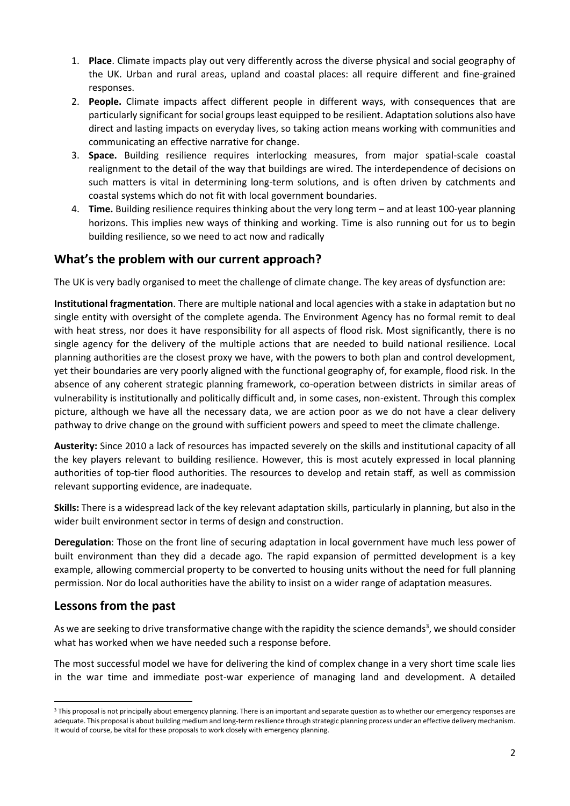- 1. **Place**. Climate impacts play out very differently across the diverse physical and social geography of the UK. Urban and rural areas, upland and coastal places: all require different and fine-grained responses.
- 2. **People.** Climate impacts affect different people in different ways, with consequences that are particularly significant for social groups least equipped to be resilient. Adaptation solutions also have direct and lasting impacts on everyday lives, so taking action means working with communities and communicating an effective narrative for change.
- 3. **Space.** Building resilience requires interlocking measures, from major spatial-scale coastal realignment to the detail of the way that buildings are wired. The interdependence of decisions on such matters is vital in determining long-term solutions, and is often driven by catchments and coastal systems which do not fit with local government boundaries.
- 4. **Time.** Building resilience requires thinking about the very long term and at least 100-year planning horizons. This implies new ways of thinking and working. Time is also running out for us to begin building resilience, so we need to act now and radically

## **What's the problem with our current approach?**

The UK is very badly organised to meet the challenge of climate change. The key areas of dysfunction are:

**Institutional fragmentation**. There are multiple national and local agencies with a stake in adaptation but no single entity with oversight of the complete agenda. The Environment Agency has no formal remit to deal with heat stress, nor does it have responsibility for all aspects of flood risk. Most significantly, there is no single agency for the delivery of the multiple actions that are needed to build national resilience. Local planning authorities are the closest proxy we have, with the powers to both plan and control development, yet their boundaries are very poorly aligned with the functional geography of, for example, flood risk. In the absence of any coherent strategic planning framework, co-operation between districts in similar areas of vulnerability is institutionally and politically difficult and, in some cases, non-existent. Through this complex picture, although we have all the necessary data, we are action poor as we do not have a clear delivery pathway to drive change on the ground with sufficient powers and speed to meet the climate challenge.

**Austerity:** Since 2010 a lack of resources has impacted severely on the skills and institutional capacity of all the key players relevant to building resilience. However, this is most acutely expressed in local planning authorities of top-tier flood authorities. The resources to develop and retain staff, as well as commission relevant supporting evidence, are inadequate.

**Skills:** There is a widespread lack of the key relevant adaptation skills, particularly in planning, but also in the wider built environment sector in terms of design and construction.

**Deregulation**: Those on the front line of securing adaptation in local government have much less power of built environment than they did a decade ago. The rapid expansion of permitted development is a key example, allowing commercial property to be converted to housing units without the need for full planning permission. Nor do local authorities have the ability to insist on a wider range of adaptation measures.

## **Lessons from the past**

As we are seeking to drive transformative change with the rapidity the science demands<sup>3</sup>, we should consider what has worked when we have needed such a response before.

The most successful model we have for delivering the kind of complex change in a very short time scale lies in the war time and immediate post-war experience of managing land and development. A detailed

<sup>&</sup>lt;sup>3</sup> This proposal is not principally about emergency planning. There is an important and separate question as to whether our emergency responses are adequate. This proposal is about building medium and long-term resilience through strategic planning process under an effective delivery mechanism. It would of course, be vital for these proposals to work closely with emergency planning.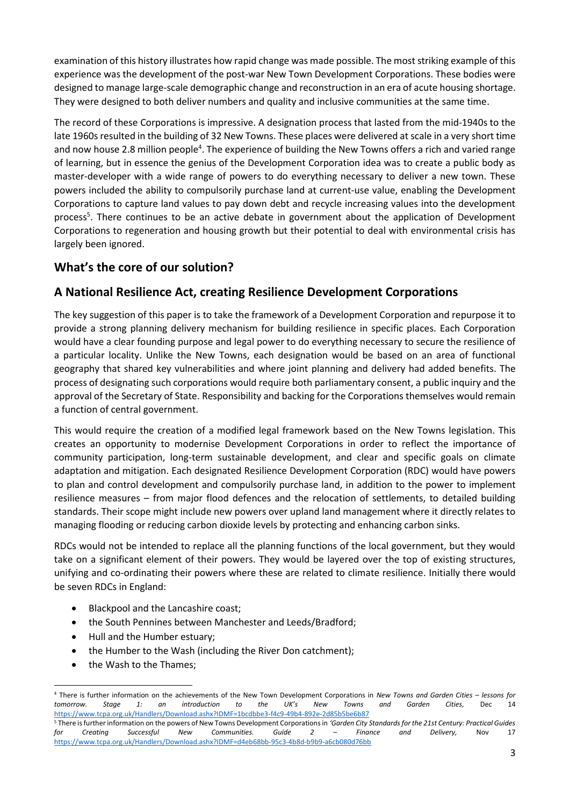examination of this history illustrates how rapid change was made possible. The most striking example of this experience was the development of the post-war New Town Development Corporations. These bodies were designed to manage large-scale demographic change and reconstruction in an era of acute housing shortage. They were designed to both deliver numbers and quality and inclusive communities at the same time.

The record of these Corporations is impressive. A designation process that lasted from the mid-1940s to the late 1960s resulted in the building of 32 New Towns. These places were delivered at scale in a very short time and now house 2.8 million people<sup>4</sup>. The experience of building the New Towns offers a rich and varied range of learning, but in essence the genius of the Development Corporation idea was to create a public body as master-developer with a wide range of powers to do everything necessary to deliver a new town. These powers included the ability to compulsorily purchase land at current-use value, enabling the Development Corporations to capture land values to pay down debt and recycle increasing values into the development process<sup>5</sup>. There continues to be an active debate in government about the application of Development Corporations to regeneration and housing growth but their potential to deal with environmental crisis has largely been ignored.

# **What's the core of our solution?**

# **A National Resilience Act, creating Resilience Development Corporations**

The key suggestion of this paper is to take the framework of a Development Corporation and repurpose it to provide a strong planning delivery mechanism for building resilience in specific places. Each Corporation would have a clear founding purpose and legal power to do everything necessary to secure the resilience of a particular locality. Unlike the New Towns, each designation would be based on an area of functional geography that shared key vulnerabilities and where joint planning and delivery had added benefits. The process of designating such corporations would require both parliamentary consent, a public inquiry and the approval of the Secretary of State. Responsibility and backing for the Corporations themselves would remain a function of central government.

This would require the creation of a modified legal framework based on the New Towns legislation. This creates an opportunity to modernise Development Corporations in order to reflect the importance of community participation, long-term sustainable development, and clear and specific goals on climate adaptation and mitigation. Each designated Resilience Development Corporation (RDC) would have powers to plan and control development and compulsorily purchase land, in addition to the power to implement resilience measures – from major flood defences and the relocation of settlements, to detailed building standards. Their scope might include new powers over upland land management where it directly relates to managing flooding or reducing carbon dioxide levels by protecting and enhancing carbon sinks.

RDCs would not be intended to replace all the planning functions of the local government, but they would take on a significant element of their powers. They would be layered over the top of existing structures, unifying and co-ordinating their powers where these are related to climate resilience. Initially there would be seven RDCs in England:

- Blackpool and the Lancashire coast;
- the South Pennines between Manchester and Leeds/Bradford;
- Hull and the Humber estuary;
- the Humber to the Wash (including the River Don catchment);
- the Wash to the Thames;

<sup>4</sup> There is further information on the achievements of the New Town Development Corporations in *New Towns and Garden Cities – lessons for tomorrow. Stage 1: an introduction to the UK's New Towns and Garden Cities,* Dec 14 <https://www.tcpa.org.uk/Handlers/Download.ashx?IDMF=1bcdbbe3-f4c9-49b4-892e-2d85b5be6b87>

<sup>5</sup> There is further information on the powers of New Towns Development Corporations in *'Garden City Standards for the 21st Century: Practical Guides for Creating Successful New Communities. Guide 2 – Finance and Delivery,* Nov 17 <https://www.tcpa.org.uk/Handlers/Download.ashx?IDMF=d4eb68bb-95c3-4b8d-b9b9-a6cb080d76bb>